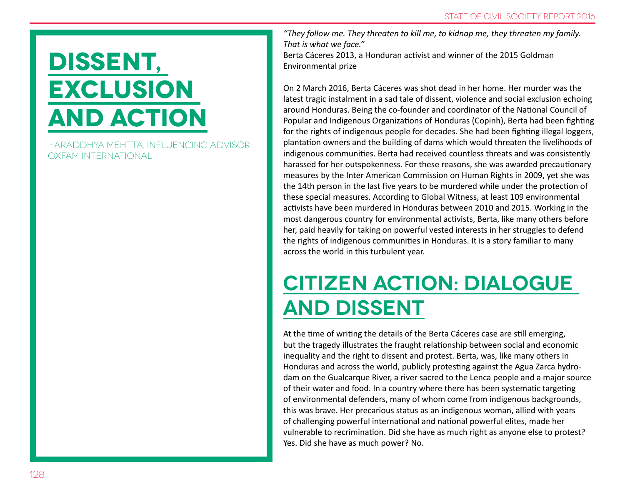# **Dissent, exclusion and action**

-Araddhya Mehtta, Influencing Advisor, Oxfam International

*"They follow me. They threaten to kill me, to kidnap me, they threaten my family. That is what we face."*

Berta Cáceres 2013, a Honduran activist and winner of the 2015 Goldman Environmental prize

On 2 March 2016, Berta Cáceres was shot dead in her home. Her murder was the latest tragic instalment in a sad tale of dissent, violence and social exclusion echoing around Honduras. Being the co-founder and coordinator of the National Council of Popular and Indigenous Organizations of Honduras (Copinh), Berta had been fighting for the rights of indigenous people for decades. She had been fighting illegal loggers, plantation owners and the building of dams which would threaten the livelihoods of indigenous communities. Berta had received countless threats and was consistently harassed for her outspokenness. For these reasons, she was awarded precautionary measures by the Inter American Commission on Human Rights in 2009, yet she was the 14th person in the last five years to be murdered while under the protection of these special measures. According to Global Witness, at least 109 environmental activists have been murdered in Honduras between 2010 and 2015. Working in the most dangerous country for environmental activists, Berta, like many others before her, paid heavily for taking on powerful vested interests in her struggles to defend the rights of indigenous communities in Honduras. It is a story familiar to many across the world in this turbulent year.

## **Citizen action: dialogue and dissent**

At the time of writing the details of the Berta Cáceres case are still emerging, but the tragedy illustrates the fraught relationship between social and economic inequality and the right to dissent and protest. Berta, was, like many others in Honduras and across the world, publicly protesting against the Agua Zarca hydrodam on the Gualcarque River, a river sacred to the Lenca people and a major source of their water and food. In a country where there has been systematic targeting of environmental defenders, many of whom come from indigenous backgrounds, this was brave. Her precarious status as an indigenous woman, allied with years of challenging powerful international and national powerful elites, made her vulnerable to recrimination. Did she have as much right as anyone else to protest? Yes. Did she have as much power? No.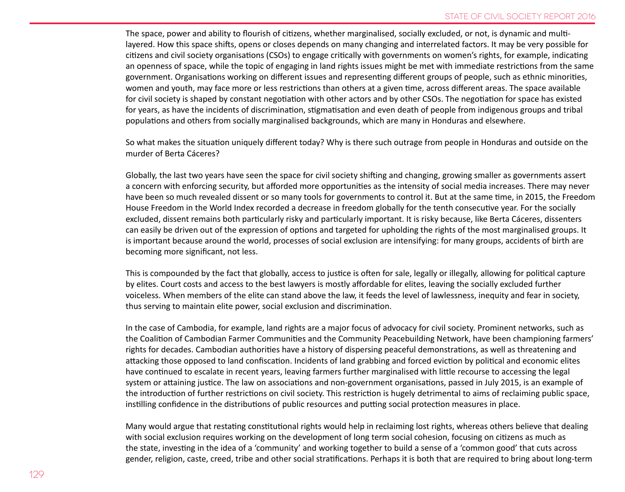The space, power and ability to flourish of citizens, whether marginalised, socially excluded, or not, is dynamic and multilayered. How this space shifts, opens or closes depends on many changing and interrelated factors. It may be very possible for citizens and civil society organisations (CSOs) to engage critically with governments on women's rights, for example, indicating an openness of space, while the topic of engaging in land rights issues might be met with immediate restrictions from the same government. Organisations working on different issues and representing different groups of people, such as ethnic minorities, women and youth, may face more or less restrictions than others at a given time, across different areas. The space available for civil society is shaped by constant negotiation with other actors and by other CSOs. The negotiation for space has existed for years, as have the incidents of discrimination, stigmatisation and even death of people from indigenous groups and tribal populations and others from socially marginalised backgrounds, which are many in Honduras and elsewhere.

So what makes the situation uniquely different today? Why is there such outrage from people in Honduras and outside on the murder of Berta Cáceres?

Globally, the last two years have seen the space for civil society shifting and changing, growing smaller as governments assert a concern with enforcing security, but afforded more opportunities as the intensity of social media increases. There may never have been so much revealed dissent or so many tools for governments to control it. But at the same time, in 2015, the Freedom House Freedom in the World Index recorded a decrease in freedom globally for the tenth consecutive year. For the socially excluded, dissent remains both particularly risky and particularly important. It is risky because, like Berta Cáceres, dissenters can easily be driven out of the expression of options and targeted for upholding the rights of the most marginalised groups. It is important because around the world, processes of social exclusion are intensifying: for many groups, accidents of birth are becoming more significant, not less.

This is compounded by the fact that globally, access to justice is often for sale, legally or illegally, allowing for political capture by elites. Court costs and access to the best lawyers is mostly affordable for elites, leaving the socially excluded further voiceless. When members of the elite can stand above the law, it feeds the level of lawlessness, inequity and fear in society, thus serving to maintain elite power, social exclusion and discrimination.

In the case of Cambodia, for example, land rights are a major focus of advocacy for civil society. Prominent networks, such as the Coalition of Cambodian Farmer Communities and the Community Peacebuilding Network, have been championing farmers' rights for decades. Cambodian authorities have a history of dispersing peaceful demonstrations, as well as threatening and attacking those opposed to land confiscation. Incidents of land grabbing and forced eviction by political and economic elites have continued to escalate in recent years, leaving farmers further marginalised with little recourse to accessing the legal system or attaining justice. The law on associations and non-government organisations, passed in July 2015, is an example of the introduction of further restrictions on civil society. This restriction is hugely detrimental to aims of reclaiming public space, instilling confidence in the distributions of public resources and putting social protection measures in place.

Many would argue that restating constitutional rights would help in reclaiming lost rights, whereas others believe that dealing with social exclusion requires working on the development of long term social cohesion, focusing on citizens as much as the state, investing in the idea of a 'community' and working together to build a sense of a 'common good' that cuts across gender, religion, caste, creed, tribe and other social stratifications. Perhaps it is both that are required to bring about long-term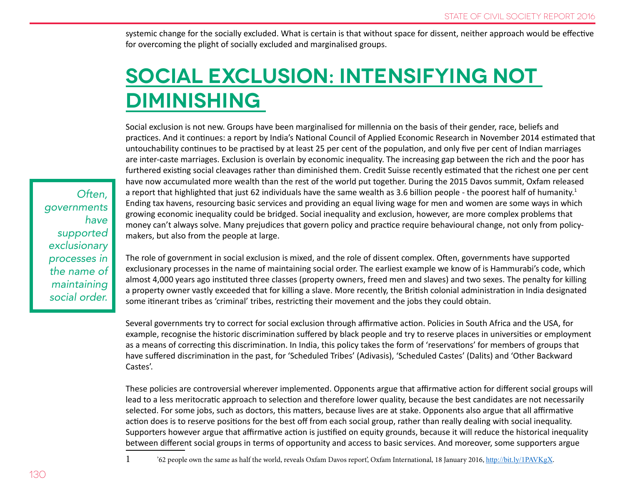systemic change for the socially excluded. What is certain is that without space for dissent, neither approach would be effective for overcoming the plight of socially excluded and marginalised groups.

## **Social exclusion: intensifying not diminishing**

Social exclusion is not new. Groups have been marginalised for millennia on the basis of their gender, race, beliefs and practices. And it continues: a report by India's National Council of Applied Economic Research in November 2014 estimated that untouchability continues to be practised by at least 25 per cent of the population, and only five per cent of Indian marriages are inter-caste marriages. Exclusion is overlain by economic inequality. The increasing gap between the rich and the poor has furthered existing social cleavages rather than diminished them. Credit Suisse recently estimated that the richest one per cent have now accumulated more wealth than the rest of the world put together. During the 2015 Davos summit, Oxfam released a report that highlighted that just 62 individuals have the same wealth as 3.6 billion people - the poorest half of humanity.<sup>1</sup> Ending tax havens, resourcing basic services and providing an equal living wage for men and women are some ways in which growing economic inequality could be bridged. Social inequality and exclusion, however, are more complex problems that money can't always solve. Many prejudices that govern policy and practice require behavioural change, not only from policymakers, but also from the people at large.

The role of government in social exclusion is mixed, and the role of dissent complex. Often, governments have supported exclusionary processes in the name of maintaining social order. The earliest example we know of is Hammurabi's code, which almost 4,000 years ago instituted three classes (property owners, freed men and slaves) and two sexes. The penalty for killing a property owner vastly exceeded that for killing a slave. More recently, the British colonial administration in India designated some itinerant tribes as 'criminal' tribes, restricting their movement and the jobs they could obtain.

Several governments try to correct for social exclusion through affirmative action. Policies in South Africa and the USA, for example, recognise the historic discrimination suffered by black people and try to reserve places in universities or employment as a means of correcting this discrimination. In India, this policy takes the form of 'reservations' for members of groups that have suffered discrimination in the past, for 'Scheduled Tribes' (Adivasis), 'Scheduled Castes' (Dalits) and 'Other Backward Castes'.

These policies are controversial wherever implemented. Opponents argue that affirmative action for different social groups will lead to a less meritocratic approach to selection and therefore lower quality, because the best candidates are not necessarily selected. For some jobs, such as doctors, this matters, because lives are at stake. Opponents also argue that all affirmative action does is to reserve positions for the best off from each social group, rather than really dealing with social inequality. Supporters however argue that affirmative action is justified on equity grounds, because it will reduce the historical inequality between different social groups in terms of opportunity and access to basic services. And moreover, some supporters argue

1 '62 people own the same as half the world, reveals Oxfam Davos report', Oxfam International, 18 January 2016, <http://bit.ly/1PAVKgX>.

*Often, governments have supported exclusionary processes in the name of maintaining social order.*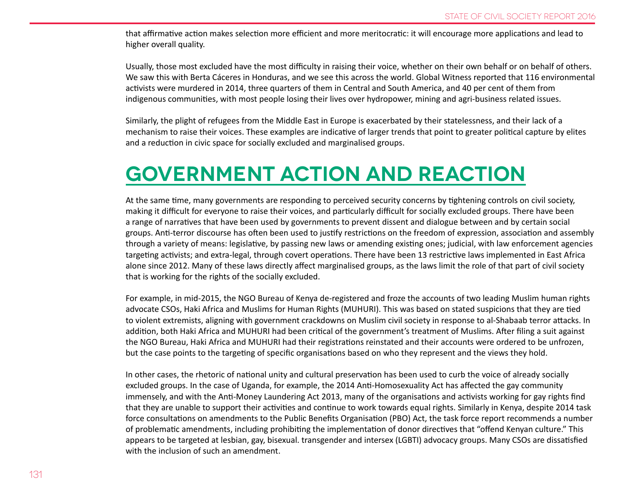that affirmative action makes selection more efficient and more meritocratic: it will encourage more applications and lead to higher overall quality.

Usually, those most excluded have the most difficulty in raising their voice, whether on their own behalf or on behalf of others. We saw this with Berta Cáceres in Honduras, and we see this across the world. Global Witness reported that 116 environmental activists were murdered in 2014, three quarters of them in Central and South America, and 40 per cent of them from indigenous communities, with most people losing their lives over hydropower, mining and agri-business related issues.

Similarly, the plight of refugees from the Middle East in Europe is exacerbated by their statelessness, and their lack of a mechanism to raise their voices. These examples are indicative of larger trends that point to greater political capture by elites and a reduction in civic space for socially excluded and marginalised groups.

#### **Government action and reaction**

At the same time, many governments are responding to perceived security concerns by tightening controls on civil society, making it difficult for everyone to raise their voices, and particularly difficult for socially excluded groups. There have been a range of narratives that have been used by governments to prevent dissent and dialogue between and by certain social groups. Anti-terror discourse has often been used to justify restrictions on the freedom of expression, association and assembly through a variety of means: legislative, by passing new laws or amending existing ones; judicial, with law enforcement agencies targeting activists; and extra-legal, through covert operations. There have been 13 restrictive laws implemented in East Africa alone since 2012. Many of these laws directly affect marginalised groups, as the laws limit the role of that part of civil society that is working for the rights of the socially excluded.

For example, in mid-2015, the NGO Bureau of Kenya de-registered and froze the accounts of two leading Muslim human rights advocate CSOs, Haki Africa and Muslims for Human Rights (MUHURI). This was based on stated suspicions that they are tied to violent extremists, aligning with government crackdowns on Muslim civil society in response to al-Shabaab terror attacks. In addition, both Haki Africa and MUHURI had been critical of the government's treatment of Muslims. After filing a suit against the NGO Bureau, Haki Africa and MUHURI had their registrations reinstated and their accounts were ordered to be unfrozen, but the case points to the targeting of specific organisations based on who they represent and the views they hold.

In other cases, the rhetoric of national unity and cultural preservation has been used to curb the voice of already socially excluded groups. In the case of Uganda, for example, the 2014 Anti-Homosexuality Act has affected the gay community immensely, and with the Anti-Money Laundering Act 2013, many of the organisations and activists working for gay rights find that they are unable to support their activities and continue to work towards equal rights. Similarly in Kenya, despite 2014 task force consultations on amendments to the Public Benefits Organisation (PBO) Act, the task force report recommends a number of problematic amendments, including prohibiting the implementation of donor directives that "offend Kenyan culture." This appears to be targeted at lesbian, gay, bisexual. transgender and intersex (LGBTI) advocacy groups. Many CSOs are dissatisfied with the inclusion of such an amendment.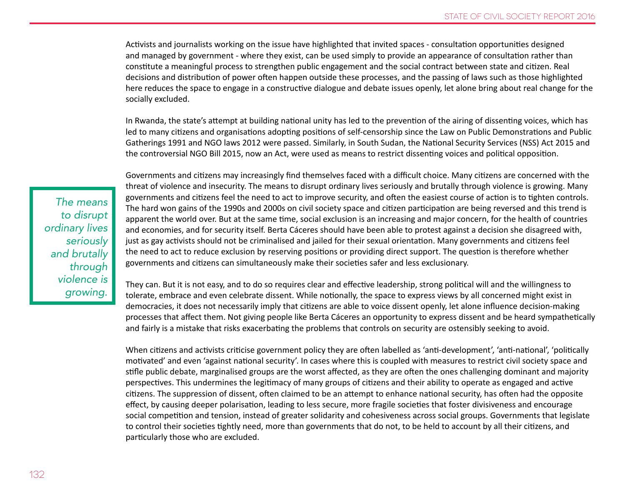Activists and journalists working on the issue have highlighted that invited spaces - consultation opportunities designed and managed by government - where they exist, can be used simply to provide an appearance of consultation rather than constitute a meaningful process to strengthen public engagement and the social contract between state and citizen. Real decisions and distribution of power often happen outside these processes, and the passing of laws such as those highlighted here reduces the space to engage in a constructive dialogue and debate issues openly, let alone bring about real change for the socially excluded.

In Rwanda, the state's attempt at building national unity has led to the prevention of the airing of dissenting voices, which has led to many citizens and organisations adopting positions of self-censorship since the Law on Public Demonstrations and Public Gatherings 1991 and NGO laws 2012 were passed. Similarly, in South Sudan, the National Security Services (NSS) Act 2015 and the controversial NGO Bill 2015, now an Act, were used as means to restrict dissenting voices and political opposition.

*The means to disrupt ordinary lives seriously and brutally through violence is growing.* 

Governments and citizens may increasingly find themselves faced with a difficult choice. Many citizens are concerned with the threat of violence and insecurity. The means to disrupt ordinary lives seriously and brutally through violence is growing. Many governments and citizens feel the need to act to improve security, and often the easiest course of action is to tighten controls. The hard won gains of the 1990s and 2000s on civil society space and citizen participation are being reversed and this trend is apparent the world over. But at the same time, social exclusion is an increasing and major concern, for the health of countries and economies, and for security itself. Berta Cáceres should have been able to protest against a decision she disagreed with, just as gay activists should not be criminalised and jailed for their sexual orientation. Many governments and citizens feel the need to act to reduce exclusion by reserving positions or providing direct support. The question is therefore whether governments and citizens can simultaneously make their societies safer and less exclusionary.

They can. But it is not easy, and to do so requires clear and effective leadership, strong political will and the willingness to tolerate, embrace and even celebrate dissent. While notionally, the space to express views by all concerned might exist in democracies, it does not necessarily imply that citizens are able to voice dissent openly, let alone influence decision-making processes that affect them. Not giving people like Berta Cáceres an opportunity to express dissent and be heard sympathetically and fairly is a mistake that risks exacerbating the problems that controls on security are ostensibly seeking to avoid.

When citizens and activists criticise government policy they are often labelled as 'anti-development', 'anti-national', 'politically motivated' and even 'against national security'. In cases where this is coupled with measures to restrict civil society space and stifle public debate, marginalised groups are the worst affected, as they are often the ones challenging dominant and majority perspectives. This undermines the legitimacy of many groups of citizens and their ability to operate as engaged and active citizens. The suppression of dissent, often claimed to be an attempt to enhance national security, has often had the opposite effect, by causing deeper polarisation, leading to less secure, more fragile societies that foster divisiveness and encourage social competition and tension, instead of greater solidarity and cohesiveness across social groups. Governments that legislate to control their societies tightly need, more than governments that do not, to be held to account by all their citizens, and particularly those who are excluded.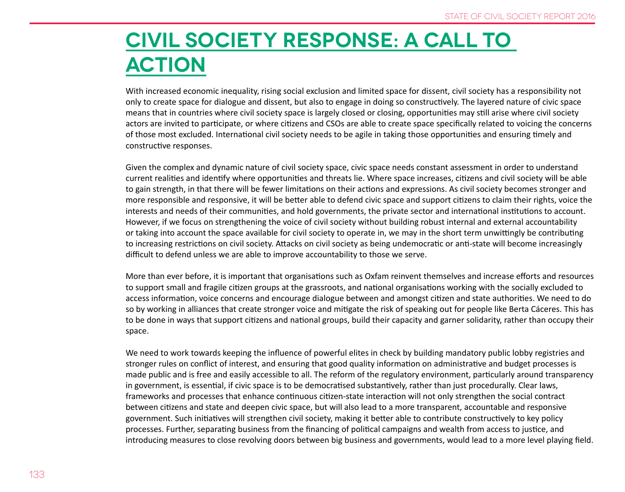#### **Civil society response: a call to action**

With increased economic inequality, rising social exclusion and limited space for dissent, civil society has a responsibility not only to create space for dialogue and dissent, but also to engage in doing so constructively. The layered nature of civic space means that in countries where civil society space is largely closed or closing, opportunities may still arise where civil society actors are invited to participate, or where citizens and CSOs are able to create space specifically related to voicing the concerns of those most excluded. International civil society needs to be agile in taking those opportunities and ensuring timely and constructive responses.

Given the complex and dynamic nature of civil society space, civic space needs constant assessment in order to understand current realities and identify where opportunities and threats lie. Where space increases, citizens and civil society will be able to gain strength, in that there will be fewer limitations on their actions and expressions. As civil society becomes stronger and more responsible and responsive, it will be better able to defend civic space and support citizens to claim their rights, voice the interests and needs of their communities, and hold governments, the private sector and international institutions to account. However, if we focus on strengthening the voice of civil society without building robust internal and external accountability or taking into account the space available for civil society to operate in, we may in the short term unwittingly be contributing to increasing restrictions on civil society. Attacks on civil society as being undemocratic or anti-state will become increasingly difficult to defend unless we are able to improve accountability to those we serve.

More than ever before, it is important that organisations such as Oxfam reinvent themselves and increase efforts and resources to support small and fragile citizen groups at the grassroots, and national organisations working with the socially excluded to access information, voice concerns and encourage dialogue between and amongst citizen and state authorities. We need to do so by working in alliances that create stronger voice and mitigate the risk of speaking out for people like Berta Cáceres. This has to be done in ways that support citizens and national groups, build their capacity and garner solidarity, rather than occupy their space.

We need to work towards keeping the influence of powerful elites in check by building mandatory public lobby registries and stronger rules on conflict of interest, and ensuring that good quality information on administrative and budget processes is made public and is free and easily accessible to all. The reform of the regulatory environment, particularly around transparency in government, is essential, if civic space is to be democratised substantively, rather than just procedurally. Clear laws, frameworks and processes that enhance continuous citizen-state interaction will not only strengthen the social contract between citizens and state and deepen civic space, but will also lead to a more transparent, accountable and responsive government. Such initiatives will strengthen civil society, making it better able to contribute constructively to key policy processes. Further, separating business from the financing of political campaigns and wealth from access to justice, and introducing measures to close revolving doors between big business and governments, would lead to a more level playing field.